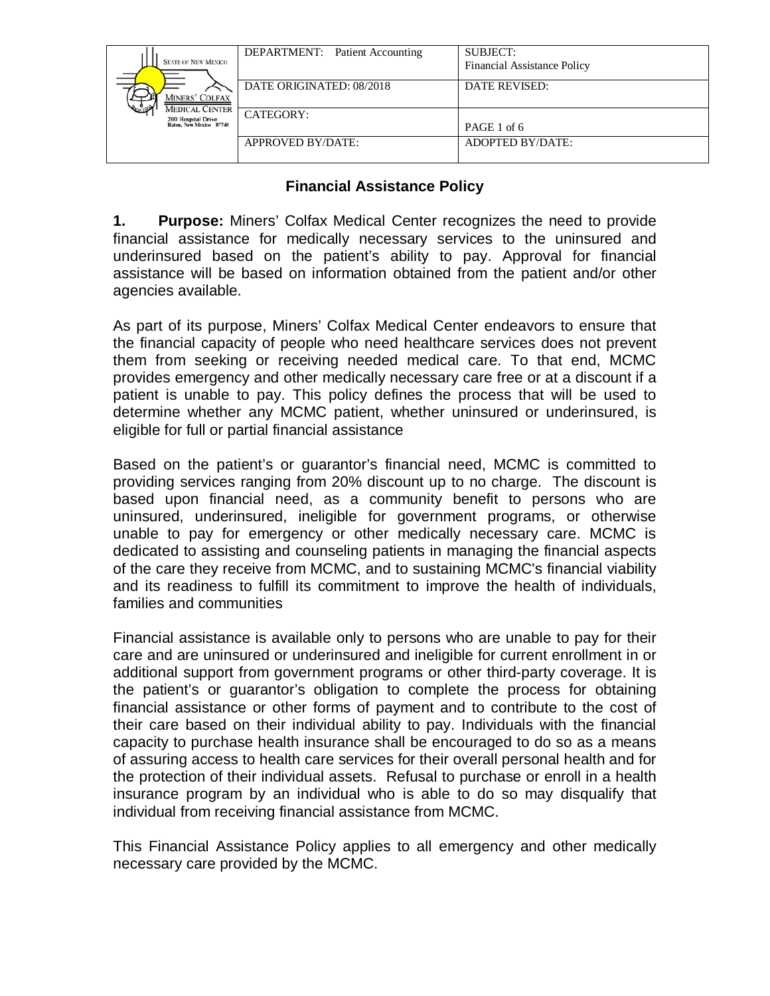| <b>STATE OF NEW MEXICO</b><br>MINERS' COLFAX<br><b>MEDICAL CENTER</b><br>200 Hospital Drive<br>Raton, New Mexico 87740 | <b>DEPARTMENT:</b> Patient Accounting | <b>SUBJECT:</b><br><b>Financial Assistance Policy</b> |
|------------------------------------------------------------------------------------------------------------------------|---------------------------------------|-------------------------------------------------------|
|                                                                                                                        | DATE ORIGINATED: 08/2018              | DATE REVISED:                                         |
|                                                                                                                        | CATEGORY:                             | PAGE 1 of 6                                           |
|                                                                                                                        | APPROVED BY/DATE:                     | ADOPTED BY/DATE:                                      |

## **Financial Assistance Policy**

**1. Purpose:** Miners' Colfax Medical Center recognizes the need to provide financial assistance for medically necessary services to the uninsured and underinsured based on the patient's ability to pay. Approval for financial assistance will be based on information obtained from the patient and/or other agencies available.

As part of its purpose, Miners' Colfax Medical Center endeavors to ensure that the financial capacity of people who need healthcare services does not prevent them from seeking or receiving needed medical care. To that end, MCMC provides emergency and other medically necessary care free or at a discount if a patient is unable to pay. This policy defines the process that will be used to determine whether any MCMC patient, whether uninsured or underinsured, is eligible for full or partial financial assistance

Based on the patient's or guarantor's financial need, MCMC is committed to providing services ranging from 20% discount up to no charge. The discount is based upon financial need, as a community benefit to persons who are uninsured, underinsured, ineligible for government programs, or otherwise unable to pay for emergency or other medically necessary care. MCMC is dedicated to assisting and counseling patients in managing the financial aspects of the care they receive from MCMC, and to sustaining MCMC's financial viability and its readiness to fulfill its commitment to improve the health of individuals, families and communities

Financial assistance is available only to persons who are unable to pay for their care and are uninsured or underinsured and ineligible for current enrollment in or additional support from government programs or other third-party coverage. It is the patient's or guarantor's obligation to complete the process for obtaining financial assistance or other forms of payment and to contribute to the cost of their care based on their individual ability to pay. Individuals with the financial capacity to purchase health insurance shall be encouraged to do so as a means of assuring access to health care services for their overall personal health and for the protection of their individual assets. Refusal to purchase or enroll in a health insurance program by an individual who is able to do so may disqualify that individual from receiving financial assistance from MCMC.

This Financial Assistance Policy applies to all emergency and other medically necessary care provided by the MCMC.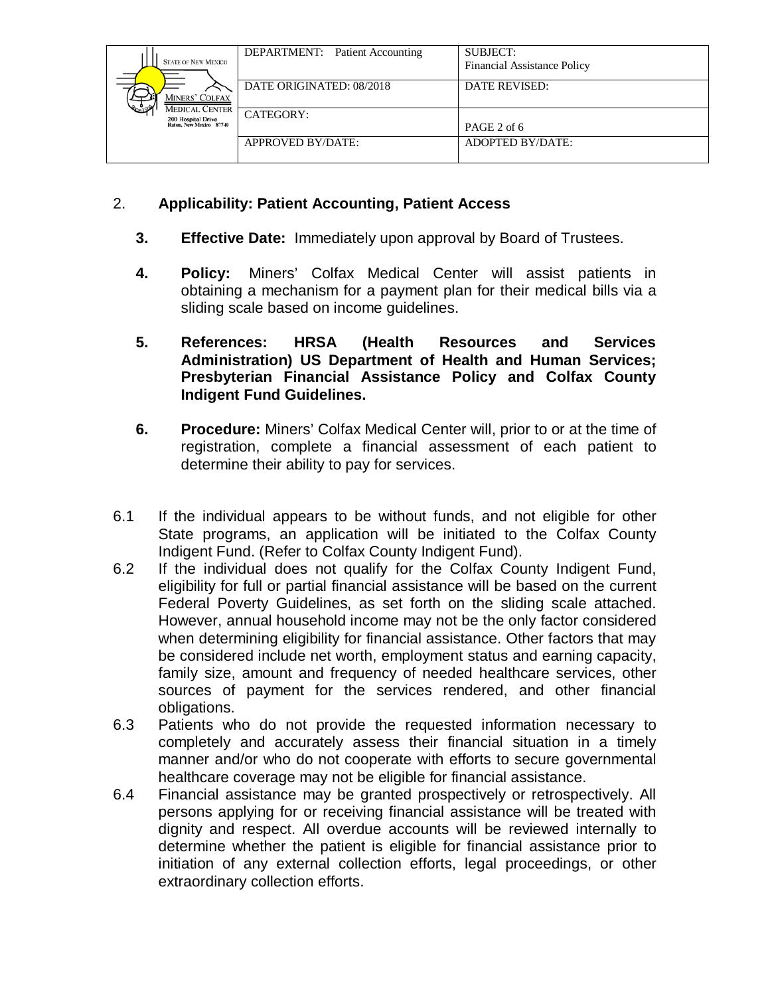| <b>STATE OF NEW MEXICO</b><br>MINERS' COLFAX<br><b>MEDICAL CENTER</b><br>200 Hospital Drive<br>Raton, New Mexico 87740 | <b>DEPARTMENT:</b> Patient Accounting | <b>SUBJECT:</b><br><b>Financial Assistance Policy</b> |
|------------------------------------------------------------------------------------------------------------------------|---------------------------------------|-------------------------------------------------------|
|                                                                                                                        | DATE ORIGINATED: 08/2018              | <b>DATE REVISED:</b>                                  |
|                                                                                                                        | CATEGORY:                             | PAGE 2 of 6                                           |
|                                                                                                                        | <b>APPROVED BY/DATE:</b>              | ADOPTED BY/DATE:                                      |

## 2. **Applicability: Patient Accounting, Patient Access**

- **3. Effective Date:** Immediately upon approval by Board of Trustees.
- **4. Policy:** Miners' Colfax Medical Center will assist patients in obtaining a mechanism for a payment plan for their medical bills via a sliding scale based on income guidelines.
- **5. References: HRSA (Health Resources and Services Administration) US Department of Health and Human Services; Presbyterian Financial Assistance Policy and Colfax County Indigent Fund Guidelines.**
- **6. Procedure:** Miners' Colfax Medical Center will, prior to or at the time of registration, complete a financial assessment of each patient to determine their ability to pay for services.
- 6.1 If the individual appears to be without funds, and not eligible for other State programs, an application will be initiated to the Colfax County Indigent Fund. (Refer to Colfax County Indigent Fund).
- 6.2 If the individual does not qualify for the Colfax County Indigent Fund, eligibility for full or partial financial assistance will be based on the current Federal Poverty Guidelines, as set forth on the sliding scale attached. However, annual household income may not be the only factor considered when determining eligibility for financial assistance. Other factors that may be considered include net worth, employment status and earning capacity, family size, amount and frequency of needed healthcare services, other sources of payment for the services rendered, and other financial obligations.
- 6.3 Patients who do not provide the requested information necessary to completely and accurately assess their financial situation in a timely manner and/or who do not cooperate with efforts to secure governmental healthcare coverage may not be eligible for financial assistance.
- 6.4 Financial assistance may be granted prospectively or retrospectively. All persons applying for or receiving financial assistance will be treated with dignity and respect. All overdue accounts will be reviewed internally to determine whether the patient is eligible for financial assistance prior to initiation of any external collection efforts, legal proceedings, or other extraordinary collection efforts.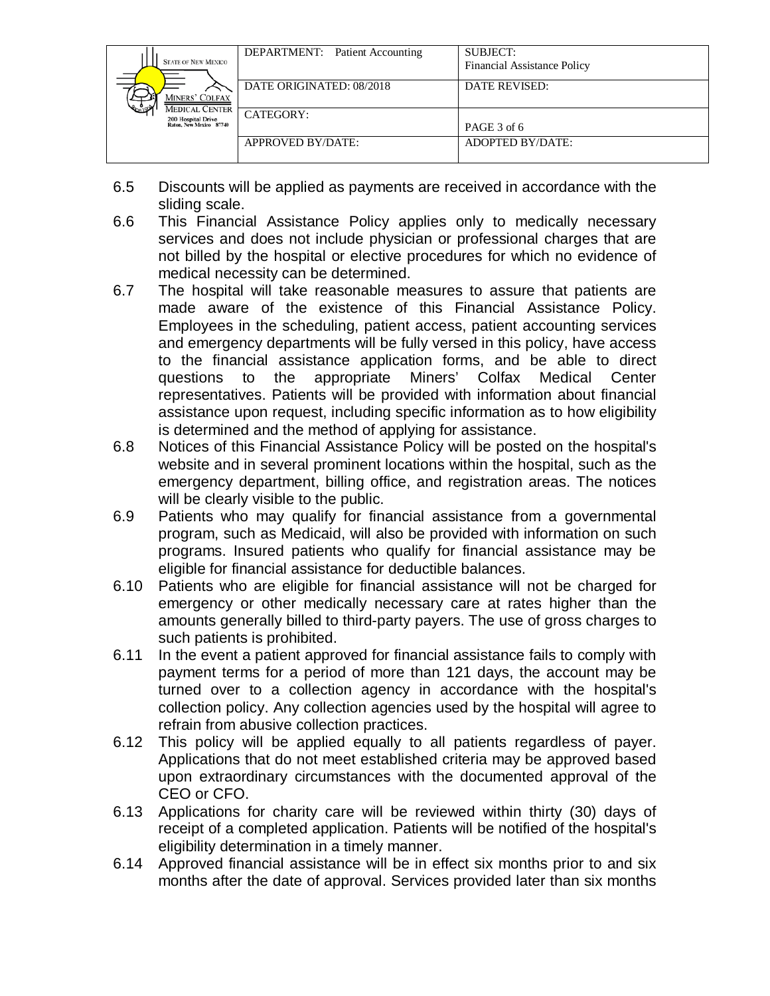| <b>STATE OF NEW MEXICO</b><br>MINERS' COLFAX<br><b>MEDICAL CENTER</b><br>200 Hospital Drive<br>Raton, New Mexico 87740 | <b>DEPARTMENT:</b> Patient Accounting | <b>SUBJECT:</b><br><b>Financial Assistance Policy</b> |
|------------------------------------------------------------------------------------------------------------------------|---------------------------------------|-------------------------------------------------------|
|                                                                                                                        | DATE ORIGINATED: 08/2018              | <b>DATE REVISED:</b>                                  |
|                                                                                                                        | CATEGORY:                             | PAGE 3 of 6                                           |
|                                                                                                                        | APPROVED BY/DATE:                     | ADOPTED BY/DATE:                                      |

- 6.5 Discounts will be applied as payments are received in accordance with the sliding scale.
- 6.6 This Financial Assistance Policy applies only to medically necessary services and does not include physician or professional charges that are not billed by the hospital or elective procedures for which no evidence of medical necessity can be determined.
- 6.7 The hospital will take reasonable measures to assure that patients are made aware of the existence of this Financial Assistance Policy. Employees in the scheduling, patient access, patient accounting services and emergency departments will be fully versed in this policy, have access to the financial assistance application forms, and be able to direct questions to the appropriate Miners' Colfax Medical Center representatives. Patients will be provided with information about financial assistance upon request, including specific information as to how eligibility is determined and the method of applying for assistance.
- 6.8 Notices of this Financial Assistance Policy will be posted on the hospital's website and in several prominent locations within the hospital, such as the emergency department, billing office, and registration areas. The notices will be clearly visible to the public.
- 6.9 Patients who may qualify for financial assistance from a governmental program, such as Medicaid, will also be provided with information on such programs. Insured patients who qualify for financial assistance may be eligible for financial assistance for deductible balances.
- 6.10 Patients who are eligible for financial assistance will not be charged for emergency or other medically necessary care at rates higher than the amounts generally billed to third-party payers. The use of gross charges to such patients is prohibited.
- 6.11 In the event a patient approved for financial assistance fails to comply with payment terms for a period of more than 121 days, the account may be turned over to a collection agency in accordance with the hospital's collection policy. Any collection agencies used by the hospital will agree to refrain from abusive collection practices.
- 6.12 This policy will be applied equally to all patients regardless of payer. Applications that do not meet established criteria may be approved based upon extraordinary circumstances with the documented approval of the CEO or CFO.
- 6.13 Applications for charity care will be reviewed within thirty (30) days of receipt of a completed application. Patients will be notified of the hospital's eligibility determination in a timely manner.
- 6.14 Approved financial assistance will be in effect six months prior to and six months after the date of approval. Services provided later than six months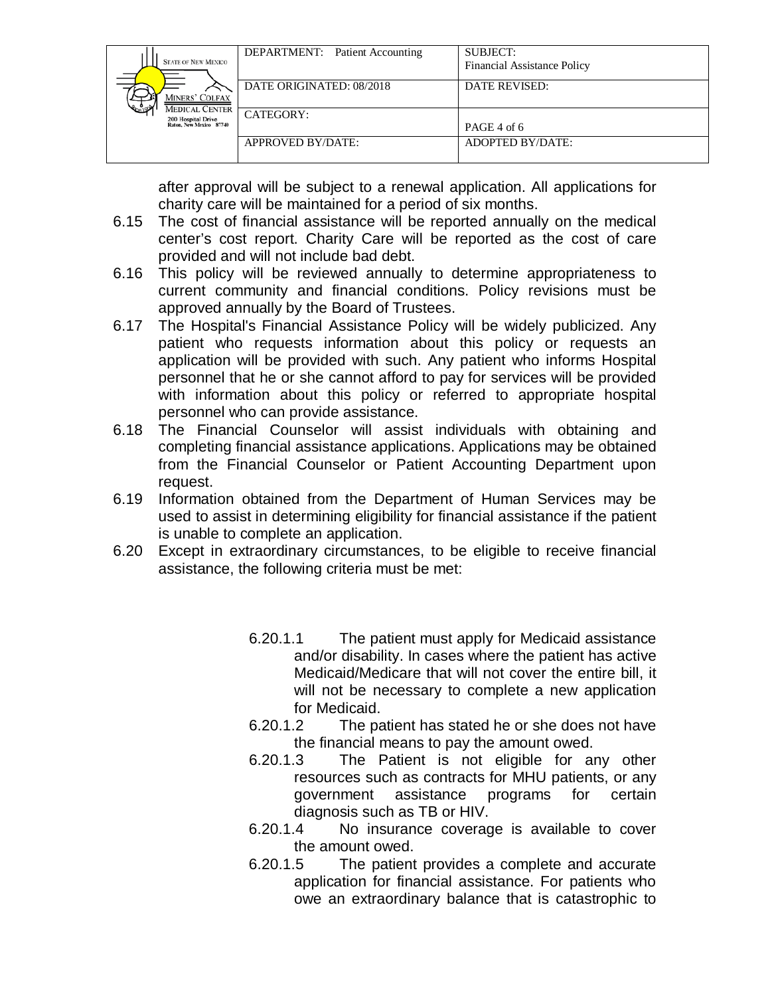| <b>STATE OF NEW MEXICO</b><br>MINERS' COLFAX<br><b>MEDICAL CENTER</b><br>200 Hospital Drive<br>Raton, New Mexico 87740 | DEPARTMENT: Patient Accounting | SUBJECT:<br><b>Financial Assistance Policy</b> |
|------------------------------------------------------------------------------------------------------------------------|--------------------------------|------------------------------------------------|
|                                                                                                                        | DATE ORIGINATED: 08/2018       | <b>DATE REVISED:</b>                           |
|                                                                                                                        | CATEGORY:                      | PAGE 4 of 6                                    |
|                                                                                                                        | <b>APPROVED BY/DATE:</b>       | ADOPTED BY/DATE:                               |

after approval will be subject to a renewal application. All applications for charity care will be maintained for a period of six months.

- 6.15 The cost of financial assistance will be reported annually on the medical center's cost report. Charity Care will be reported as the cost of care provided and will not include bad debt.
- 6.16 This policy will be reviewed annually to determine appropriateness to current community and financial conditions. Policy revisions must be approved annually by the Board of Trustees.
- 6.17 The Hospital's Financial Assistance Policy will be widely publicized. Any patient who requests information about this policy or requests an application will be provided with such. Any patient who informs Hospital personnel that he or she cannot afford to pay for services will be provided with information about this policy or referred to appropriate hospital personnel who can provide assistance.
- 6.18 The Financial Counselor will assist individuals with obtaining and completing financial assistance applications. Applications may be obtained from the Financial Counselor or Patient Accounting Department upon request.
- 6.19 Information obtained from the Department of Human Services may be used to assist in determining eligibility for financial assistance if the patient is unable to complete an application.
- 6.20 Except in extraordinary circumstances, to be eligible to receive financial assistance, the following criteria must be met:
	- 6.20.1.1 The patient must apply for Medicaid assistance and/or disability. In cases where the patient has active Medicaid/Medicare that will not cover the entire bill, it will not be necessary to complete a new application for Medicaid.
	- 6.20.1.2 The patient has stated he or she does not have the financial means to pay the amount owed.
	- 6.20.1.3 The Patient is not eligible for any other resources such as contracts for MHU patients, or any government assistance programs for certain diagnosis such as TB or HIV.
	- 6.20.1.4 No insurance coverage is available to cover the amount owed.
	- 6.20.1.5 The patient provides a complete and accurate application for financial assistance. For patients who owe an extraordinary balance that is catastrophic to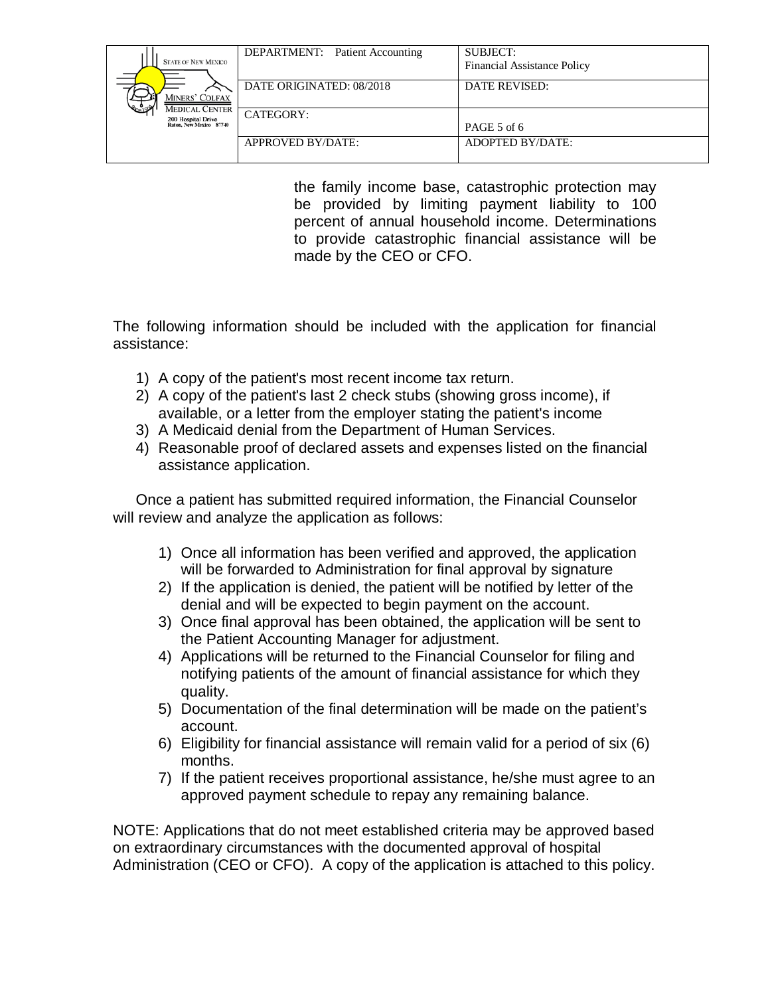| <b>STATE OF NEW MEXICO</b><br><b>MINERS' COLFAX</b><br><b>MEDICAL CENTER</b><br>200 Hospital Drive<br>Raton, New Mexico 87740 | <b>DEPARTMENT:</b> Patient Accounting | <b>SUBJECT:</b><br><b>Financial Assistance Policy</b> |
|-------------------------------------------------------------------------------------------------------------------------------|---------------------------------------|-------------------------------------------------------|
|                                                                                                                               | DATE ORIGINATED: 08/2018              | DATE REVISED:                                         |
|                                                                                                                               | CATEGORY:                             | PAGE 5 of 6                                           |
|                                                                                                                               | APPROVED BY/DATE:                     | ADOPTED BY/DATE:                                      |

the family income base, catastrophic protection may be provided by limiting payment liability to 100 percent of annual household income. Determinations to provide catastrophic financial assistance will be made by the CEO or CFO.

The following information should be included with the application for financial assistance:

- 1) A copy of the patient's most recent income tax return.
- 2) A copy of the patient's last 2 check stubs (showing gross income), if available, or a letter from the employer stating the patient's income
- 3) A Medicaid denial from the Department of Human Services.
- 4) Reasonable proof of declared assets and expenses listed on the financial assistance application.

Once a patient has submitted required information, the Financial Counselor will review and analyze the application as follows:

- 1) Once all information has been verified and approved, the application will be forwarded to Administration for final approval by signature
- 2) If the application is denied, the patient will be notified by letter of the denial and will be expected to begin payment on the account.
- 3) Once final approval has been obtained, the application will be sent to the Patient Accounting Manager for adjustment.
- 4) Applications will be returned to the Financial Counselor for filing and notifying patients of the amount of financial assistance for which they quality.
- 5) Documentation of the final determination will be made on the patient's account.
- 6) Eligibility for financial assistance will remain valid for a period of six (6) months.
- 7) If the patient receives proportional assistance, he/she must agree to an approved payment schedule to repay any remaining balance.

NOTE: Applications that do not meet established criteria may be approved based on extraordinary circumstances with the documented approval of hospital Administration (CEO or CFO). A copy of the application is attached to this policy.